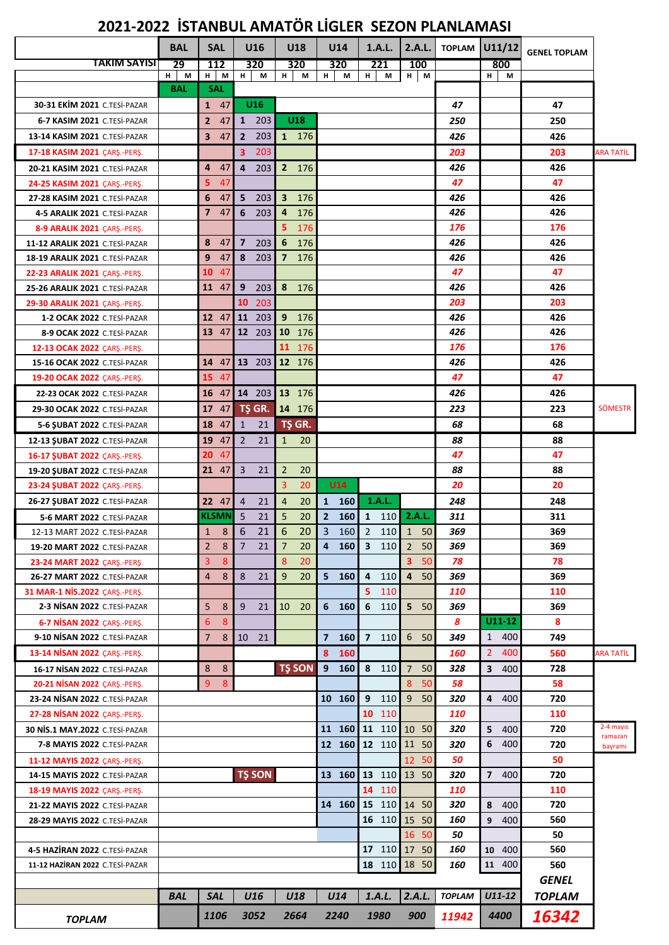## **2021-2022 İSTANBUL AMATÖR LİGLER SEZON PLANLAMASI**

|                                                               | <b>BAL</b> | <b>SAL</b>           | U16                            | U18                            | U14                 | 1.A.L.                | 2.A.L.               |               | <b>TOPLAM</b> U11/12  | <b>GENEL TOPLAM</b> |                    |
|---------------------------------------------------------------|------------|----------------------|--------------------------------|--------------------------------|---------------------|-----------------------|----------------------|---------------|-----------------------|---------------------|--------------------|
| TAKIM SAYISI                                                  | 29         | 112                  | 320                            | 320                            | 320                 | 221                   | 100                  |               | 800                   |                     |                    |
|                                                               | $H$ M      | $H$ M                | H<br>M                         | н.<br>M                        | н.<br>М             | H.<br>M               | $H$ M                |               | H<br>M                |                     |                    |
| <b>30-31 EKİM 2021 C.TESİ-PAZAR</b>                           | <b>BAL</b> | <b>SAL</b>           |                                |                                |                     |                       |                      |               |                       |                     |                    |
|                                                               |            | $1 \quad 47$         | U <sub>16</sub><br>1 203       | U18                            |                     |                       |                      | 47            |                       | 47                  |                    |
| 6-7 KASIM 2021 C.TESİ-PAZAR                                   |            | $\overline{2}$<br>47 |                                |                                |                     |                       |                      | 250           |                       | 250                 |                    |
| 13-14 KASIM 2021 C.TESİ-PAZAR                                 |            | 47<br>3              | $\overline{2}$<br>203          | 1 176                          |                     |                       |                      | 426           |                       | 426                 |                    |
| 17-18 KASIM 2021 CARS.-PERS.                                  |            |                      | 3<br>203                       |                                |                     |                       |                      | 203           |                       | 203                 | ARA TATİL          |
| 20-21 KASIM 2021 C.TESİ-PAZAR                                 |            | 47<br>4<br>5<br>47   | $\overline{\mathbf{4}}$<br>203 | 2 176                          |                     |                       |                      | 426<br>47     |                       | 426<br>47           |                    |
| 24-25 KASIM 2021 CARS.-PERS.                                  |            | 6<br>47              | 5<br>203                       | $\overline{\mathbf{3}}$<br>176 |                     |                       |                      | 426           |                       | 426                 |                    |
| 27-28 KASIM 2021 C.TESİ-PAZAR<br>4-5 ARALIK 2021 C.TESİ-PAZAR |            | 47<br>$\overline{7}$ | 6<br>203                       | 176<br>$\overline{4}$          |                     |                       |                      | 426           |                       | 426                 |                    |
| 8-9 ARALIK 2021 ÇARŞ.-PERŞ.                                   |            |                      |                                | 5<br>176                       |                     |                       |                      | 176           |                       | 176                 |                    |
| 11-12 ARALIK 2021 C.TESİ-PAZAR                                |            | 8<br>47              | $\overline{7}$<br>203          | 6<br>176                       |                     |                       |                      | 426           |                       | 426                 |                    |
| 18-19 ARALIK 2021 C.TESİ-PAZAR                                |            | 47<br>9              | 8<br>203                       | $7 \t176$                      |                     |                       |                      | 426           |                       | 426                 |                    |
| 22-23 ARALIK 2021 ÇARŞ.-PERŞ.                                 |            | 10<br>47             |                                |                                |                     |                       |                      | 47            |                       | 47                  |                    |
| 25-26 ARALIK 2021 C.TESİ-PAZAR                                |            | 47<br>11             | 9<br>203                       | 8 176                          |                     |                       |                      | 426           |                       | 426                 |                    |
| 29-30 ARALIK 2021 CARS.-PERS.                                 |            |                      | 10<br>203                      |                                |                     |                       |                      | 203           |                       | 203                 |                    |
| 1-2 OCAK 2022 C.TESİ-PAZAR                                    |            | $12 \t 47$           | 11 203                         | 9 176                          |                     |                       |                      | 426           |                       | 426                 |                    |
| 8-9 OCAK 2022 C.TESİ-PAZAR                                    |            | 13 47                | $12 \t203$                     | 10 176                         |                     |                       |                      | 426           |                       | 426                 |                    |
| 12-13 OCAK 2022 CARS.-PERS.                                   |            |                      |                                | 11 176                         |                     |                       |                      | 176           |                       | 176                 |                    |
| 15-16 OCAK 2022 C.TESİ-PAZAR                                  |            |                      | 14 47 13 203                   | 12 176                         |                     |                       |                      | 426           |                       | 426                 |                    |
| 19-20 OCAK 2022 ÇARŞ.-PERŞ.                                   |            | 15 47                |                                |                                |                     |                       |                      | 47            |                       | 47                  |                    |
| 22-23 OCAK 2022 C.TESİ-PAZAR                                  |            | 47<br>16             | $14 \t203 \t13 \t176$          |                                |                     |                       |                      | 426           |                       | 426                 |                    |
| 29-30 OCAK 2022 C.TESİ-PAZAR                                  |            | 17<br>47 I           | TŞ GR.                         | 14 176                         |                     |                       |                      | 223           |                       | 223                 | <b>SÖMESTR</b>     |
| 5-6 SUBAT 2022 C.TESİ-PAZAR                                   |            | 47<br>18             | $\mathbf{1}$<br>21             | TŞ GR.                         |                     |                       |                      | 68            |                       | 68                  |                    |
| 12-13 SUBAT 2022 C.TESİ-PAZAR                                 |            | 47<br>19             | $\overline{2}$<br>21           | 1<br>20                        |                     |                       |                      | 88            |                       | 88                  |                    |
| 16-17 ŞUBAT 2022 ÇARŞ.-PERŞ.                                  |            | 47<br>20             |                                |                                |                     |                       |                      | 47            |                       | 47                  |                    |
| 19-20 ŞUBAT 2022 C.TESİ-PAZAR                                 |            | 21 47                | 3<br>21                        | 2<br>20                        |                     |                       |                      | 88            |                       | 88                  |                    |
| 23-24 SUBAT 2022 CARS.-PERS.                                  |            |                      |                                | 3<br>20                        | U14                 |                       |                      | 20            |                       | 20                  |                    |
| 26-27 ŞUBAT 2022 C.TESİ-PAZAR                                 |            | 22 47                | $\overline{4}$<br>21           | $\overline{4}$<br>20           | 1 160               | 1.A.L.                |                      | 248           |                       | 248                 |                    |
| 5-6 MART 2022 C.TESİ-PAZAR                                    |            | <b>KLSMN</b>         | 5<br>21                        | 5<br>20                        | $\mathbf{2}$<br>160 | $\mathbf{1}$<br>110   | 2.A.L.               | 311           |                       | 311                 |                    |
| 12-13 MART 2022 C.TESİ-PAZAR                                  |            | 8<br>$\mathbf{1}$    | 6<br>21                        | 6<br>20                        | 3<br>160            | $\overline{2}$<br>110 | $\mathbf{1}$<br>50   | 369           |                       | 369                 |                    |
| 19-20 MART 2022 C.TESİ-PAZAR                                  |            | 2<br>8               | 21<br>7                        | 20<br>7                        | 4 160               | 3 110                 | 50<br>2              | 369           |                       | 369                 |                    |
| 23-24 MART 2022 CARS.-PERS.                                   |            | 3<br>8               |                                | 8<br>20                        |                     |                       | 3<br>50              | 78            |                       | 78                  |                    |
| 26-27 MART 2022 C.TESİ-PAZAR                                  |            | 8<br>$\overline{4}$  | 8<br>21                        | 9<br>20                        | $5$ 160             | 4 110                 | $\overline{4}$<br>50 | 369           |                       | 369                 |                    |
| 31 MAR-1 NIS.2022 CARS.-PERS.                                 |            |                      |                                |                                |                     | 5<br>110              |                      | 110           |                       | 110                 |                    |
| 2-3 NISAN 2022 C.TESI-PAZAR                                   |            | 5<br>8               | 9<br>21                        | 10 20                          | 6 160               | 6 110                 | 5 <sub>1</sub><br>50 | 369           |                       | 369                 |                    |
| 6-7 NISAN 2022 CARS.-PERS.                                    |            | 6<br>8               |                                |                                |                     |                       |                      | 8             | $U11-12$              | 8                   |                    |
| 9-10 NISAN 2022 C.TESI-PAZAR                                  |            | $\overline{7}$<br>8  | 10 21                          |                                | 7 160               | 7 110                 | 6 <sup>1</sup><br>50 | 349           | 1 400                 | 749                 |                    |
| 13-14 NISAN 2022 CARS.-PERS.                                  |            |                      |                                |                                | 8<br>160            |                       |                      | 160           | 2 <sup>1</sup><br>400 | 560                 | ARA TATİL          |
| 16-17 NISAN 2022 C.TESİ-PAZAR                                 |            | 8<br>8               |                                | <b>TS SON</b>                  | 9<br>160            | 8 110                 | $\overline{7}$<br>50 | 328           | 400<br>3              | 728                 |                    |
| 20-21 NISAN 2022 CARS.-PERS.                                  |            | 8<br>9               |                                |                                |                     |                       | 8<br>50              | 58            |                       | 58                  |                    |
| 23-24 NISAN 2022 C.TESI-PAZAR                                 |            |                      |                                |                                | 10 160              | 9 <sup>1</sup><br>110 | 9<br>50              | 320           | $\overline{4}$<br>400 | 720                 |                    |
| 27-28 NISAN 2022 CARS.-PERS.                                  |            |                      |                                |                                |                     | 10 110                |                      | 110           |                       | 110                 |                    |
| <b>30 NIS.1 MAY.2022 C.TESI-PAZAR</b>                         |            |                      |                                |                                |                     | 11 160 11 110 10      | 50                   | 320           | 5<br>400              | 720                 | 2-4 mayıs          |
| 7-8 MAYIS 2022 C.TESİ-PAZAR                                   |            |                      |                                |                                | 12 160              | 12 110                | 11 50                | 320           | 6<br>400              | 720                 | ramazan<br>bayramı |
| 11-12 MAYIS 2022 CARS.-PERS.                                  |            |                      |                                |                                |                     |                       | 12<br>50             | 50            |                       | 50                  |                    |
| <b>14-15 MAYIS 2022 C.TESİ-PAZAR</b>                          |            |                      | <b>TŞ SON</b>                  |                                | 13 160              | 13 110                | 13 50                | 320           | 7 400                 | 720                 |                    |
| 18-19 MAYIS 2022 ÇARŞ.-PERŞ.                                  |            |                      |                                |                                |                     | 14 110                |                      | 110           |                       | 110                 |                    |
| 21-22 MAYIS 2022 C.TESİ-PAZAR                                 |            |                      |                                |                                |                     | 14 160 15 110 14 50   |                      | 320           | 8<br>400              | 720                 |                    |
| <b>28-29 MAYIS 2022 C.TESİ-PAZAR</b>                          |            |                      |                                |                                |                     | 16 110 15             | - 50                 | 160           | 9<br>400              | 560                 |                    |
|                                                               |            |                      |                                |                                |                     |                       | 16 50                | 50            |                       | 50                  |                    |
| 4-5 HAZİRAN 2022 C.TESİ-PAZAR                                 |            |                      |                                |                                |                     |                       | 17 110 17 50         | 160           | 10 400                | 560                 |                    |
| 11-12 HAZİRAN 2022 C.TESİ-PAZAR                               |            |                      |                                |                                |                     |                       | 18 110 18 50         | 160           | 11 400                | 560                 |                    |
|                                                               |            |                      |                                |                                |                     |                       |                      |               |                       | <b>GENEL</b>        |                    |
|                                                               | BAL        | <b>SAL</b>           | U16                            | U18                            | U14                 | 1.A.L.                | 2.A.L.               | <b>TOPLAM</b> | U11-12                | <b>TOPLAM</b>       |                    |
|                                                               |            | 1106                 | 3052                           | 2664                           | 2240                | 1980                  | 900                  | 11942         | 4400                  | 16342               |                    |
| <b>TOPLAM</b>                                                 |            |                      |                                |                                |                     |                       |                      |               |                       |                     |                    |